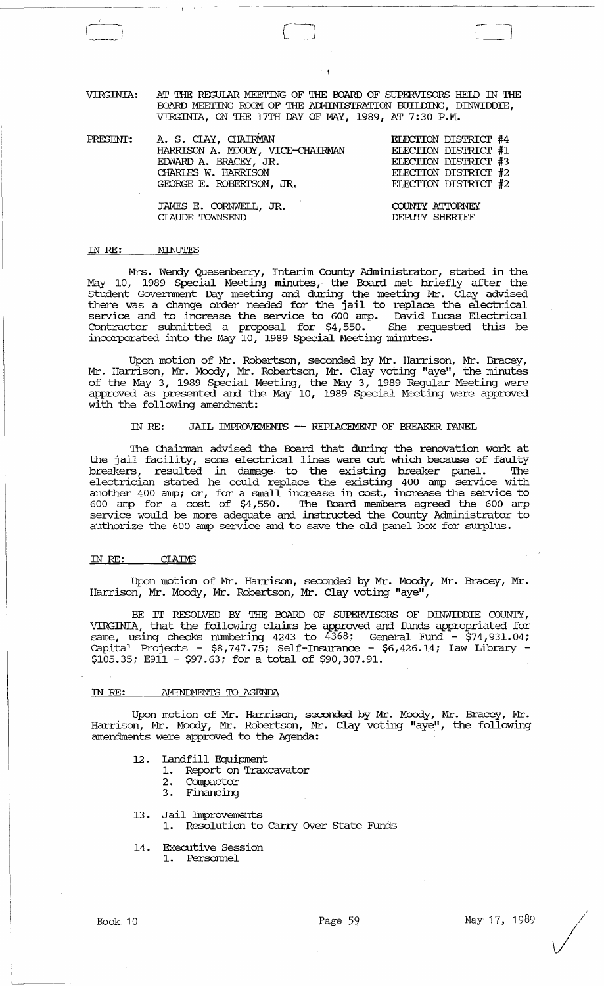VIRGINIA: AT THE REGUIAR MEETING OF THE BOARD OF SUPERVISORS HELD IN THE BOARD MEETING ROOM OF THE ADMINISTRATION BUILDING, DINWIDDIE, VIRGINIA, ON THE 17'IH DAY OF MAY, 1989, AT 7:30 P.M.

o

| PRESENT: | A. S. CIAY, CHAIRMAN<br>HARRISON A. MOODY, VICE-CHAIRMAN<br>EDWARD A. BRACEY, JR.<br>CHARLES W. HARRISON<br>GEORGE E. ROBERTSON, JR. | ELECTION DISTRICT #4<br>ELECTION DISTRICT #1<br>ELECTION DISTRICT #3<br>ELECTION DISTRICT #2<br>ELECTION DISTRICT #2 |
|----------|--------------------------------------------------------------------------------------------------------------------------------------|----------------------------------------------------------------------------------------------------------------------|
|          | JAMES E. CORNWELL, JR.<br>CLAUDE TOWNSEND                                                                                            | COUNTY ATTORNEY<br>DEPUIY SHERIFF                                                                                    |

#### IN *RE:*  MINUTES

 $- -$ 

Mrs. Wendy Quesenberry, Interim County Administrator, stated in the May 10, 1989 Special Meeting minutes, the Board met briefly after the Student Government Day meeting and during the meeting Mr. Clay advised there was a change order needed for the jail to replace the electrical service and to increase the service to 600 amp. David Incas Electrical Contractor submitted a proposal for \$4,550. She requested this be incorporated into the May 10, 1989 Special Meeting minutes.

Upon motion of Mr. Robertson, seconded by Mr. Harrison, Mr. Bracey, Mr. Harrison, Mr. Moody, Mr. Robertson, Mr. Clay voting "aye", the minutes of the May 3, 1989 Special Meeting, the May 3, 1989 Regular Meeting were approved as presented and the May 10, 1989 Special Meeting were approved with the following amendment:

#### IN RE: JAIL IMPROVEMENTS -- REPIACEMENT OF BREAKER PANEL

The Chainnan advised the Board that during the renovation work at the jail facility, some electrical lines were cut which because of faulty breakers, resulted in damage to the existing breaker panel. The electrician stated he could replace the existing 400 amp service with another 400 amp; or, for a small increase in cost, increase the service to 600 amp for a cost of \$4,550. The Board members agreed the 600 amp service would be more adequate and instructed the County Administrator to authorize the 600 amp service and to save the old panel box for surplus.

#### IN *RE:* CIAIMS

Upon motion of Mr. Harrison, seconded by Mr. Moody, Mr. Bracey, Mr. Harrison, Mr. Moody, Mr. Robertson, Mr. Clay voting "aye",

BE IT RESOLVED BY THE OOARD OF SUPERVISORS OF DINWIDDIE COUNTY, VIRGINIA, that the following claims be approved and funds appropriated for same, using checks numbering 4243 to 43.68: General Fund - \$74,931. 04; capital Projects - \$8,747.75; Self-Insurance - \$6,426.14; Law Library -  $$105.35; E911 - $97.63;$  for a total of \$90,307.91.

#### IN RE: AMENDMENTS TO AGENDA

Upon motion of Mr. Harrison, seconded by Mr. Moody, Mr. Bracey, Mr. Harrison, Mr. Moody, Mr. Robertson, Mr. Clay voting "aye", the following amendments were approved to the Agenda:

- 12. Landfill Equipment
	- 1. Report on Traxcavator
		- 2. Compactor
		- 3 . Financing
- l3 . Jail Improvements
	- 1. Resolution to carry OVer State Funds
- 14. Executive Session
	- 1. Personnel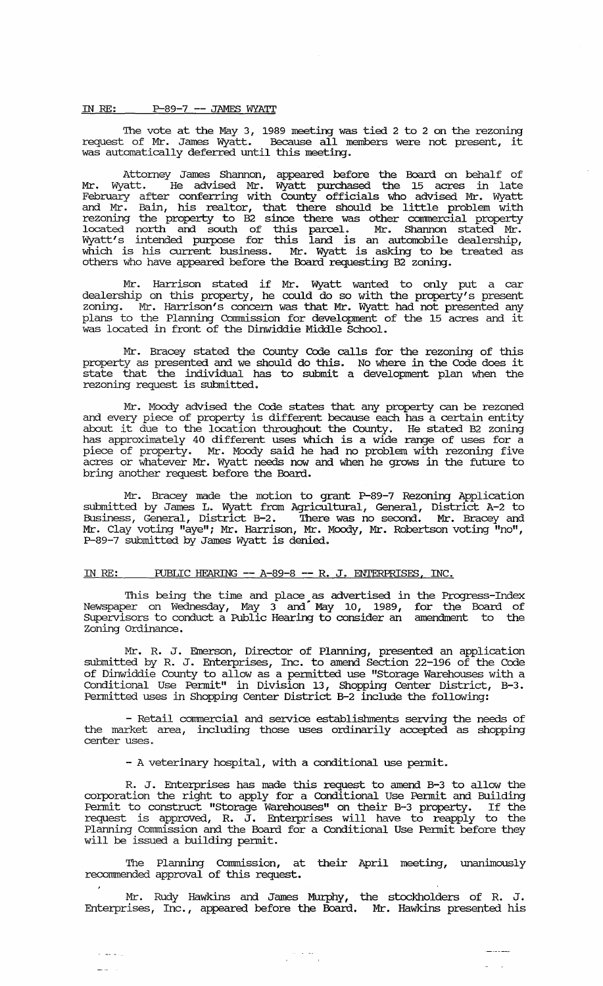#### **IN RE:** P-89-7 -- JAMES WYATT

'The vote at the May 3, 1989 meeting was tied 2 to 2 on the rezoning request of Mr. James Wyatt. Because all members were not present, it was automatically deferred until this meeting.

Attorney James Shannon, appeared before the Board on behalf of Mr. Wyatt. He advised Mr. Wyatt purchased the 15 acres in late February after conferring with County officials who advised Mr. Wyatt and Mr. Bain, his realtor, that there should be little problem with rezoning the property to B2 since there was other connnercial property located north and south of this parcel. Mr. Shannon stated Mr. Wyatt's intended purpose for this land is an automobile dealership, which is his current business. Mr. Wyatt is asking to be treated as others who have appeared before the Board requesting B2 zoning.

Mr. Harrison stated if Mr. Wyatt wanted to only put a car dealership on this property, he could do so with the property's present zoning. Mr. Harrison's concern was that Mr. Wyatt had not presented any plans to the Planning Commission for development of the 15 acres and it was located in front of the Dinwiddie Middle School.

Mr. Bracey stated the County Code calls for the rezoning of this property as presented and we should do this. No where in the Code does it state that the individual has to submit a development plan when the rezoning request is submitted.

Mr. Moody advised the Code states that any property can be rezoned and every piece of property is different because each has a certain entity and every prece or property is uniferent because each has a certain entity<br>about it due to the location throughout the County. He stated B2 zoning has approximately 40 different uses which is a wide range of uses for a piece of property. Mr. Moody said he had no problem with rezoning five acres or whatever Mr. Wyatt needs now and when he grows in the future to bring another request before the Board.

Mr. Bracey made the motion to grant P-89-7 Rezoning Application submitted by James L. Wyatt from Agricultural, General, District A-2 to Business, General, District B-2. 'There was no second. Mr. Bracey and Mr. Clay voting "aye"; Mr. Harrison, Mr. Moody, Mr. Robertson voting "no", P-89-7 submitted by James Wyatt is denied.

### IN RE: PUBLIC HEARING -- A-89-8 -- R. J. ENTERPRISES, INC.

'This being the time and place as advertised in the Progress-Index Newspaper on Wednesday, May 3 and" May 10, 1989, for the Board of supervisors to conduct a Public Hearing to consider an amendment to the zoning Ordinance.

Mr. R. J. Emerson, Director of Planning, presented an application submitted by R. J. Enterprises, Inc. to amend Section 22-196 of the Code of Dinwiddie County to allow as a pennitted use "Storage Warehouses with a Conditional Use Pennit" in Division 13, Shopping Center District, B-3. Permitted uses in Shopping Center District B-2 include the following:

- Retail commercial and service establishments serving the needs of the market area, including those uses ordinarily accepted as shopping center uses.

- A veterinary hospital, with a conditional use permit.

R. J. Enterprises has made this request to amend B-3 to allow the corporation the right to apply for a Conditional Use Pennit and Building pennit to construct "Storage Warehouses" on their B-3 property. If the request is approved, R. J. Enterprises will have to reapply to the Planning Commission and the Board for a Conditional Use Permit before they will be issued a building permit.

'The Planning Commission, at their April meeting, unanimously recommended approval of this request.

Mr. Rudy Hawkins and James Murphy, the stockholders of R. J. Enterprises, Inc., appeared before the Board. Mr. Hawkins presented his

 $\begin{array}{c} \alpha_1 \cdot \alpha_2 \cdot \alpha_3 \\ \alpha_1 \cdot \alpha_2 \cdot \alpha_3 \cdot \alpha_4 \cdot \alpha_5 \end{array}$ 

 $\omega$  , and  $\omega$  ,  $\omega$  $\frac{1}{2}$  .  $\frac{1}{2}$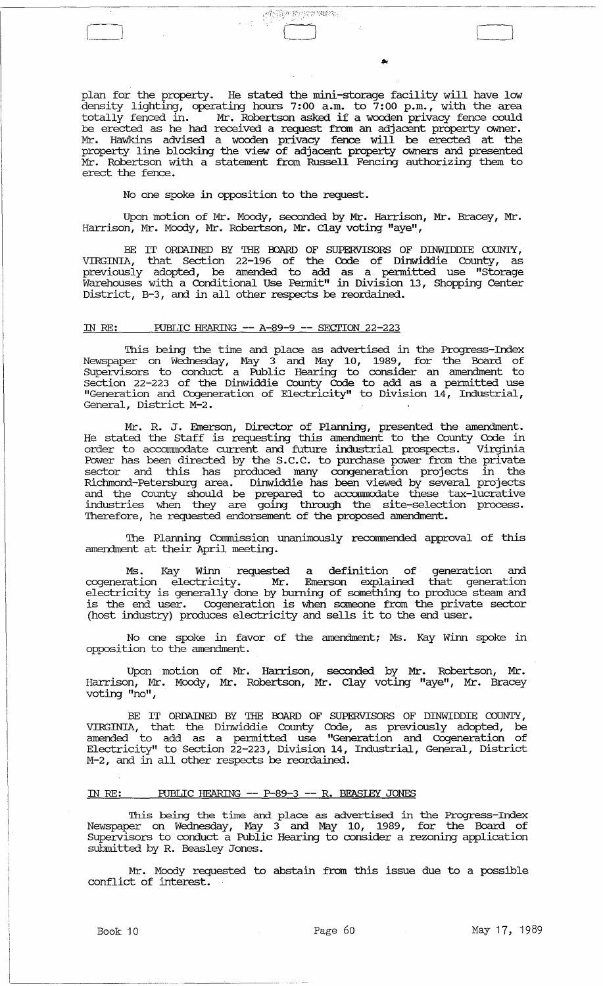plan for the property. He stated the mini-storage facility will have low density lighting, operating hours 7:00 a.m. to 7:00 p.m., with the area totally fenced in. Mr. Robertson asked if a wooden privacy fence could be erected as he had received a request from an adjacent property owner. Mr. Hawkins advised a wooden privacy fence will be erected at the property line blocking the view of adjacent property owners and presented Mr. Robertson with a statement from Russell Fencing authorizing them to erect the fence.

AND PARTNER.

No one spoke in opposition to the request.

Upon motion of Mr. Moody, seconded by Mr. Harrison, Mr. Bracey, Mr. Harrison, Mr. Moody, Mr. Robertson, Mr. Clay voting "aye",

BE IT ORDAINED BY THE BOARD OF SUPERVISORS OF DINWIDDIE COUNTY,<br>VIRGINIA, that Section 22-196 of the Code of Dinwiddie County, as previously adopted, be amended to add as a permitted use "Storage Warehouses with a Conditional Use Pennit" in Division 13, Shopping Center District, B-3, and in all other respects be reordained.

## IN RE: roBLIC HEARING **--** A-89-9 **--** SECTION 22-223

This being the time and place as advertised in the Progress-Index Newspaper on Wednesday, May 3 and May 10, 1989, for the Board of supervisors to conduct a Public Hearing to consider an amendment to section 22-223 of the Dinwiddie County Code to add as a permitted use "Generation and Cogeneration of Electricity" to Division 14, Industrial, General, District M-2.

Mr. R. J. Emerson, Director of Planning, presented the amendment. He stated the Staff is requesting this amendment to the County Code in order to accommodate current and future industrial prospects. Virginia Power has been directed by the S.C.C. to purchase power from the private sector and this has produced many congeneration projects in the Richmond-Petersburg area. Dinwiddie has been viewed by several projects and the County should be prepared to accommodate these tax-lucrative industries when they are going through the site-selection process. Therefore, he requested endorsement of the proposed amendment.

The Planning Commission unanimously recommended approval of this amendment at their April meeting.

Ms. Kay Winn requested a definition of generation and cogeneration electricity. Mr. Emerson explained that generation electricity is generally done by burning of something to produce steam and is the end user. Cogeneration is when someone from the private sector (host industry) produces electricity and sells it to the end user.

No one spoke in favor of the amendment; Ms. Kay winn spoke in opposition to the amendment.

Upon motion of Mr. Harrison, seconded by Mr. Robertson, Mr. Harrison, Mr. Moody, Mr. Robertson, Mr. Clay voting "aye", Mr. Bracey voting "no",

BE IT ORDAINED BY THE BOARD OF SUPERVISORS OF DINWIDDIE COUNTY, VIRGINIA, that the Dinwiddie County Code, as previously adopted, be amended to add as a permitted use "Generation and Cogeneration of Electricity" to Section 22-223, Division 14, Industrial, General, District M-2, and in all other respects be reordained.

## IN RE: roBLIC HEARING **--** P-89-3 **--** R. BEASLEY JONES

This being the time and place as advertised in the Progress-Index Newspaper on Wednesday, May 3 and May 10, 1989, for the Board of Supervisors to conduct a Public Hearing to consider a rezoning application submitted by R. Beasley Jones.

Mr. Moody requested to abstain from this issue due to a possible conflict of interest.

LJ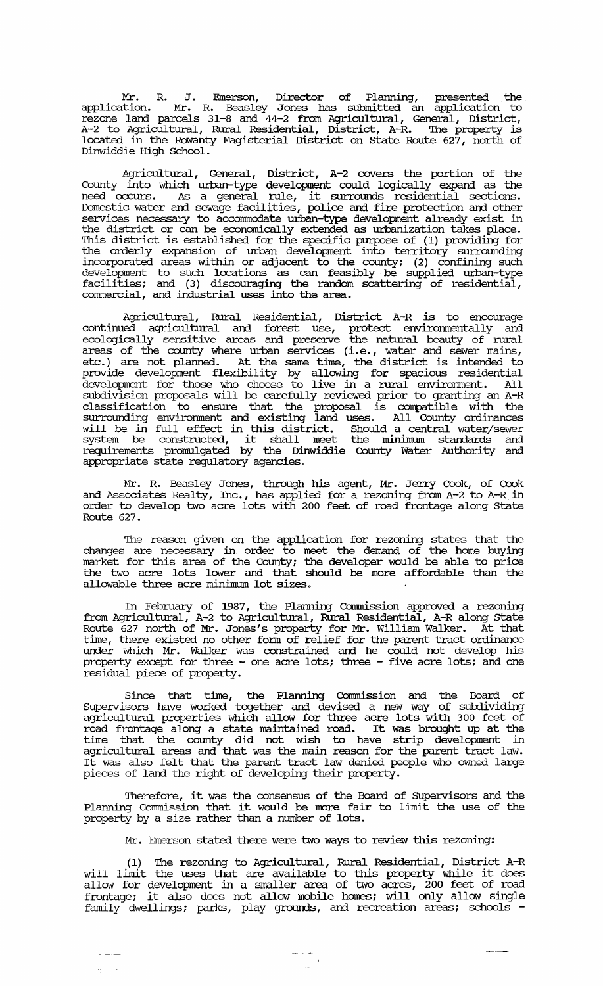Mr. R. J. Emerson, Director of Planning, presented the application. Mr. R. Beasley Jones has submitted an application to rezone land parcels 31-8 and 44-2 from Agricultural, General, District, A-2 to Agricultural, Rural Residential, District, A-R. The property is located in the Rowanty Magisterial District on state Route 627, north of Dinwiddie High School.

Agricultural, General, District, A-2 covers the portion of the County into which urban-type development could logically expand as the need occurs. As a general rule, it surrounds residential sections. Domestic water and sewage facilities, police and fire protection and other services necessary to accommodate urban-type development already exist in the district or can be economically extended as urbanization takes place. This district is established for the specific purpose of (1) providing for the orderly expansion of urban development into territory surrounding incorporated areas within or adjacent to the county; (2) confining such development to such locations as can feasibly be supplied urban-type facilities; and (3) discouraging the random scattering of residential, commercial, and industrial uses into the area.

Agricultural, Rural Residential, District A-R is to encourage continued agricultural and forest use, protect environmentally and ecologically sensitive areas and preserve the natural beauty of rural areas of the county where urban services (i.e., water and sewer mains, etc.) are not planned. At the same time, the district is intended to provide development flexibility by allowing for spacious residential development for those who choose to live in a rural environment. All subdivision proposals will be carefully reviewed prior to granting an A-R classification to ensure that the proposal is compatible with the surrounding environment and existing land uses. All County ordinances will be in full effect in this district. Should a central water/sewer system be constructed, it shall meet the minimum standards and requirements promulgated by the Dinwiddie County Water Authority and appropriate state regulatory agencies.

Mr. R. Beasley Jones, through his agent, Mr. Jerry Cook, of Cook and Associates Realty, Inc., has applied for a rezoning from A-2 to A-R in order to develop two acre lots with 200 feet of road frontage along State Route 627.

The reason given on the application for rezoning states that the changes are necessary in order to meet the demand of the home buying market for this area of the County; the developer would be able to price the two acre lots lower and that should be more affordable than the market for this area of the County; the two acre lots lower and that shallowable three acre minimum lot sizes.

In February of 1987, the Planning Commission approved a rezoning from Agricultural, A-2 to Agricultural, Rural Residential, A-R along State Route 627 north of Mr. Jones's property for Mr. William Walker. At that time, there existed no other fonn of relief for the parent tract ordinance under which Mr. Walker was constrained and he could not develop his property except for three - one acre lots; three - five acre lots; and one residual piece of property.

Since that time, the Planning Commission and the Board of SUpervisors have worked together and devised a new way of subdividing agricultural properties which allow for three acre lots with 300 feet of road frontage along a state maintained road. It was brought up at the time that the county did not wish to have strip development in agricultural areas and that was the main reason for the parent tract law. It was also felt that the parent tract law denied people who owned large pieces of land the right of developing their property.

Therefore, it was the consensus of the Board of SUpervisors and the Interacte, it was the consensus of the Board of supervisors and the<br>Planning Commission that it would be more fair to limit the use of the property by a size rather than a number of lots.

Mr. Emerson stated there were two ways to review this rezoning:

(1) The rezoning to Agricultural, Rural Residential, District A-R will limit the uses that are available to this property while it does allow for development in a smaller area of two acres, 200 feet of road frontage; it also does not allow mobile homes; will only allow single family dwellings; parks, play grounds, and recreation areas; schools -

 $\omega_{\rm{max}}=1$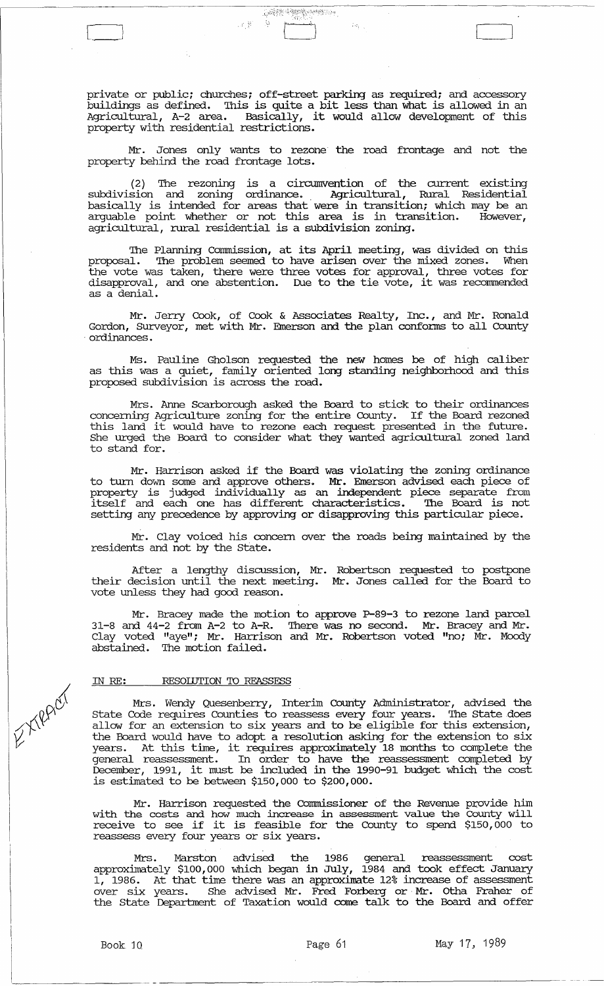private or public; churches; off-street parking as required; and accessory buildings as defined. This is quite a bit less than what is allowed in an Agricultural, A-2 area. Basically, it would allow development of this property with residential restrictions.

**AREA MARINESSA** 

 $\mathcal{L}(\mathcal{Y})$ 

 $\begin{array}{|c|c|c|c|c|}\hline \quad \quad & \quad \quad & \quad \quad \\ \hline \quad \quad & \quad \quad & \quad \quad \\ \hline \quad \quad & \quad \quad & \quad \quad \\ \hline \quad \quad & \quad \quad & \quad \quad \\ \hline \end{array}$ 

Mr. Jones only wants to rezone the road frontage and not the property behind the road frontage lots.

(2) The rezoning is a circumvention of the current existing subdivision and zoning ordinance.. Agricultural, Rural Residential basically is intended for areas that were in transition; which may be an arguable point whether or not this area is in transition. However, agricultural, rural residential is a subdivision zoning.

The Planning Commission, at its April meeting, was divided on this proposal. The problem seemed to have arisen over the mixed zones. When the vote was taken, there were three votes for approval, three votes for disapproval, and one abstention. Due to the tie vote, it was recommended as a denial.

Mr. Jerry Cook, of Cook & Associates Realty, Inc., and Mr. Ronald Gordon, Surveyor, met with Mr. Emerson and the plan confonns to all County . ordinances.

Ms. Pauline Gholson requested the new homes be of high caliber as this was a quiet, family oriented long standing neighborhood and this proposed subdivision is across the road.

Mrs. Anne Scarborough asked the Board to stick to their ordinances concerning Agriculture zoning for the entire County. If the Board rezoned this land it would have to rezone each request presented in the future. She urged the Board to consider what they wanted agricultural zoned land to stand for.

Mr. Harrison asked if the Board was violating the zoning ordinance to turn down some and approve others. Mr. Emerson advised each piece of property is judged individually as an independent piece separate from itself and each one has different characteristics. 'Ihe Board is not setting any precedence by approving or disapproving this particular piece.

Mr. Clay voiced his concern over the roads being maintained by the residents and not by the State.

After a lengthy discussion, Mr. Robertson requested to postpone their decision until the next meeting. Mr. Jones called for the Board to vote unless they had good reason.

Mr. Bracey made the motion to approve P-89-3 to rezone land parcel 31-8 and 44-2 from A-2 to A-R. There was no second. Mr. Bracey and Mr. Clay voted "aye"; Mr. Harrison and Mr. Robertson voted "no; Mr. Moody abstained. The motion failed.

#### IN *RE:* RESOLUTION TO REASSESS

Mrs. Wendy Quesenberry, Interim County Administrator, advised the State Code requires Counties to reassess every four years. The State does allow for an extension to six years and to be eligible for this extension, the Board would have to adopt a resolution asking for the extension to six years. At this time, it requires approximately 18 months to complete the general reassessment. In order to have the reassessment completed by December, 1991, it must be included in the 1990-91 budget which the cost is estimated to be between \$150,000 to \$200,000.

Mr. Harrison requested the Commissioner of the Revenue provide him with the costs and how much increase in assessment value the County will receive to see if it is feasible for the County to spend \$150,000 to reassess every four years or six years.

Mrs. Marston advised the 1986 general reassessment cost approximately \$100,000 which began in July, 1984 and took effect January 1, 1986. At that time there was an approximate 12% increase of assessment over six years. She advised Mr. Fred Forberg or· Mr. otha Fraher of the State Deparbnent of Taxation would corne talk to the Board and offer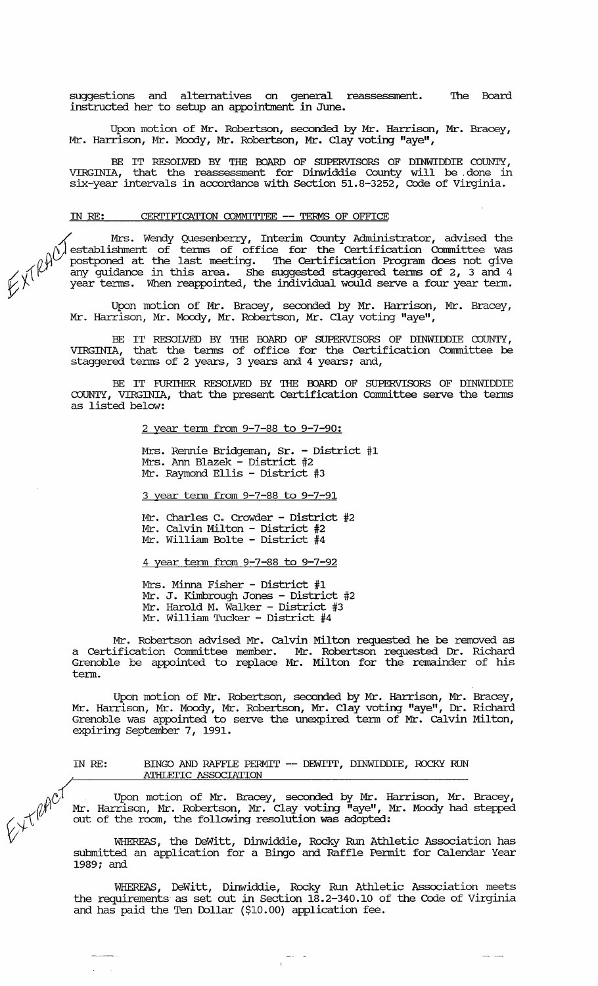suggestions and alternatives on general reassessment. instructed her to setup an appointment in June. The Board

Upon motion of Mr. Robertson, seconded by Mr. Harrison, Mr. Bracey, Mr. Harrison, Mr. Moody, Mr. Robertson, Mr. Clay voting "aye",

BE IT RESOLVED BY THE BOARD OF SUPERVISORS OF DINWIDDIE COUNTY, VIRGINIA, that the reassessment for Dinwiddie County will be done in six-year intervals in accordance with Section 51.8-3252, Code of Virginia.

# IN RE: CERTIFICATION COMMITTEE -- TERMS OF OFFICE

 $\diagup$  Mrs. Wendy Quesenberry, Interim County Administrator, advised the  $\gamma$  establishment of terms of office for the Certification Committee was postponed at the last meeting. The Certification Program does not give<br>any guidance in this area. She suggested staggered terms of 2, 3 and 4<br>year terms. When reappointed, the individual would serve a four year term.

> Upon motion of Mr. Bracey, seconded by Mr. Harrison, Mr. Bracey, Mr. Harrison, Mr. Moody, Mr. Robertson, Mr. Clay voting "aye",

> BE IT RESOLVED BY THE BOARD OF SUPERVISORS OF DINWIDDIE COUNTY,<br>VIRGINIA, that the terms of office for the Certification Committee be staggered terms of 2 years, 3 years and 4 years; and,

> BE IT FURIHER RESOLVED BY THE BOARD OF SUPERVISORS OF DINWIDDIE COUNTY, VIRGINIA, that the present Certification Committee serve the terms as listed below:

> > 2 year term from 9-7-88 to 9-7-90:

Mrs. Rennie Bridgeman, Sr. - District #1 Mrs. Ann Blazek - District #2 Mr. Raymond Ellis - District #3

3 year term from 9-7-88 to 9-7-91

Mr. Charles C. Crowder - District #2 Mr. Calvin Milton - District #2 Mr. William Bolte - District #4

4 year term from 9-7-88 to 9-7-92

Mrs. Minna Fisher - District #1 Mr. J. Kimbrough Jones - District #2 Mr. Harold M. Walker - District #3 Mr. William Tucker - District #4

Mr. Robertson advised Mr. Calvin Milton requested he be removed as a Certification Committee member. Mr. Robertson requested Dr. Richard Grenoble be appointed to replace Mr. Milton for the remainder of his term.

Upon motion of Mr. Robertson, seconded by Mr. Harrison, Mr. Bracey, Mr. Harrison, Mr. Moody, Mr. Robertson, Mr. Clay voting "aye", Dr. Richard Grenoble was appointed to se:rve the unexpired term of Mr. Calvin Milton, expiring September 7, 1991.

### IN RE: BINGO AND RAFFLE PERMIT -- DEWITT, DINWIDDIE, ROCKY RUN ATHIEI'IC ASSOCIATION

Upon motion of Mr. Bracey, seconded by Mr. Harrison, Mr. Bracey,<br>Mr. Harrison, Mr. Robertson, Mr. Clay voting "aye", Mr. Moody had stepped<br>out of the room, the following resolution was adopted:  $\mathcal{A}$  Mr. Harrison, Mr. Robertson, Mr. Clay voting "aye", Mr. Moody had stepped (1) Mr. Harrison, Mr. Robertson, Mr. Clay voting "aye", New York out of the room, the following resolution was adopted:

WHEREAS, the DeWitt, Dinwiddie, Rocky Run Athletic Association has submitted an application for a Bingo and Raffle Permit for Calendar Year 1989; and

WHEREAS, DeWitt, Dinwiddie, Rocky Run Athletic Association meets the requirements as set out in Section 18.2-340.10 of the Code of Virginia and has paid the Ten Dollar (\$10.00) application fee.

والمستردان ومنجر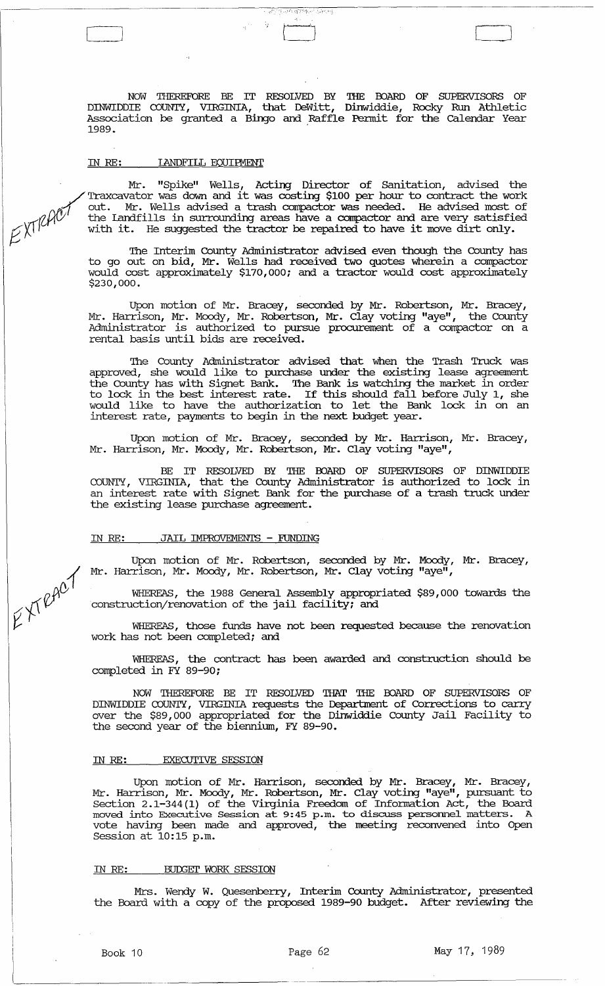NOW THEREFORE BE IT RESOLVED BY '!HE OOARD OF SUPERVISORS OF DINWIDDIE COUNTY, VIRGINIA, that DeWitt, Dinwiddie, Rocky Run Athletic Association be granted a Bingo and Raffle Pennit for the calendar Year 1989. '

 $\begin{pmatrix} 1 & 0 & 0 \\ 0 & 0 & 0 \\ 0 & 0 & 0 \end{pmatrix}$ 

।<br>প্রকাশ প্রাপিক্ত একেই দেৱ

#### IN RE: IANDFILL EQUIFMENT

Mr. "Spike" Wells, Acting Director of Sanitation, advised the ./ Traxcavator was down and it was costing \$100 per hour to contract the work The contract the work out. Mr. Wells advised a trash compactor was needed. He advised most of the Landfills in surrounding areas have a compactor and are very satisfied with it. He suggested the tractor be repaired to have

The Interim County Administrator advised even though the County has to go out on bid, Mr. Wells had received two quotes wherein a compactor would cost approximately \$170,000; and a tractor would cost approximately \$230,000.

Upon motion of Mr. Bracey, seconded by Mr. Robertson, Mr. Bracey, Mr. Harrison, Mr. Moody, Mr. Robertson, Mr. Clay voting "aye", the county Administrator is authorized to pursue procurement of a compactor on a rental basis until bids are received.

The County Administrator advised that when the Trash Truck was approved, she would like to purchase under the existing lease agreement the County has with Signet Bank. The Bank is watching the market in order to lock in the best interest rate. If this should fall before July 1, she would like to have the authorization to let the Bank lock in on an interest rate, payments to begin in the next budget year.

Upon motion of Mr. Bracey, seconded by Mr. Harrison, Mr. Bracey, Mr. Harrison, Mr. Moody, Mr. Robertson, Mr. Clay voting "aye",

BE IT RESOLVED BY THE BOARD OF SUPERVISORS OF DINWIDDIE COUNTY, VIRGINIA, that the County Administrator is authorized to lock in an interest rate with Signet Bank for the purchase of a trash truck under the existing lease purchase agreement.

#### IN RE: JAIL IMPROVEMENTS - FUNDING

Upon motion of Mr. Robertson, seconded by Mr. Moody, Mr. Bracey, Mr. Harrison, Mr. Moody, Mr. Robertson, Mr. Clay voting "aye",

WHEREAS, the 1988 General Assembly appropriated \$89,000 towards the construction/renovation of the jail facility; and

WHEREAS, those funds have not been requested because the renovation work has not been completed; and

WHEREAS, the contract has been awarded and construction should be completed in FY 89-90;

NOW THEREFORE BE IT RESOLVED THAT '!HE OOARD OF SUPERVISORS OF DINWIDDIE COUNTY, VIRGINIA requests the Department of Corrections to carry over the \$89,000 appropriated for the Dinwiddie County Jail Facility to the second year of the biennium, FY 89-90.

#### IN RE: EXECUTIVE SESSION

Upon motion of Mr. Harrison, seconded by Mr. Bracey, Mr. Bracey, Mr. Harrison, Mr. Moody, Mr. Robertson, Mr. Clay voting "aye", pursuant to section 2 .1-344 (1) of the Virginia Freedom of Infonnation Act, the Board moved into Executive Session at 9:45 p.m. to discuss personnel matters. A vote having been made and approved, the meeting reconvened into Open Session at 10:15 p.m.

#### IN RE: BUDGET WORK SESSION

Mrs. Wendy W. Quesenberry, Interim County Administrator, presented the Board with a copy of the proposed 1989-90 budget. After reviewing the

EXTRACT